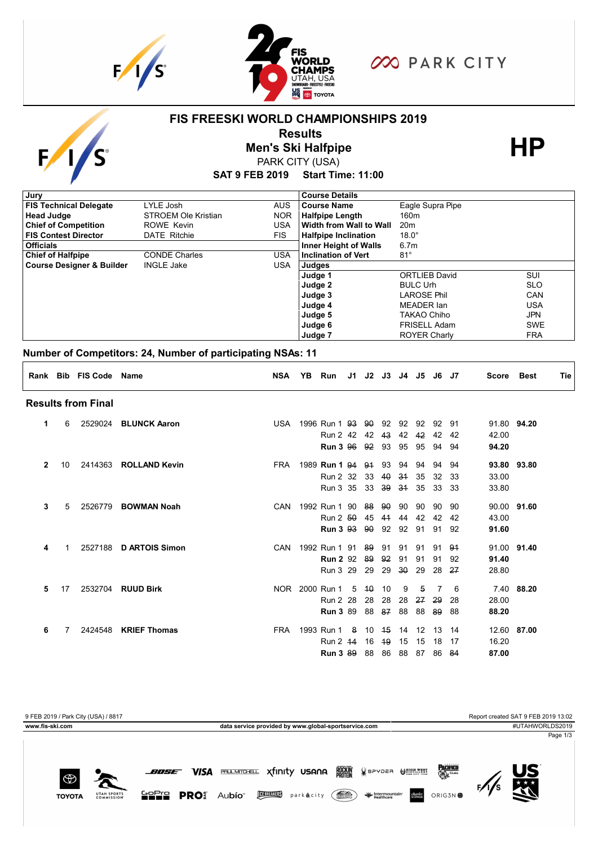

**UTAH SPORTS** 

**TOYOTA** 

**SOFIS PRO** Aubío



**FIS FREESKI WORLD CHAMPIONSHIPS 2019**

**COO PARK CITY** 

### **SAT 9 FEB 2019 Start Time: 11:00 Results**<br>
Men's Ski Halfpipe<br>
PARK CITY (USA) PARK CITY (USA) **Judge 5 Judge 6 Judge 7** TAKAO Chiho FRISELL Adam ROYER Charly JPN SWE FRA **Judge 4** MEADER Ian USA **Judge 2 Judge 3** BULC Urh LAROSE Phil SLO CAN **Course Designer & Builder INGLE Jake JUSA** Judges **Judge 1 INGLE Jake** ORTLIEB David SUI **Chief of Halfpipe** CONDE Charles USA **Inclination of Vert** 81° **Officials** 6.7m **FIS Contest Director** DATE Ritchie FIS **Halfpipe Inclination** 18.0° **Chief of Competition** ROWE Kevin **USA Width from Wall to Wall** 20m **Head Judge STROEM Ole Kristian NOR Halfpipe Length** 160m **FIS Technical Delegate** LYLE Josh AUS **Course Name** Eagle Supra Pipe **Jury Course Details Number of Competitors: 24, Number of participating NSAs: 11 Rank Bib FIS Code Name NSA YB Run J1 J2 J3 J4 J5 J6 J7 Score Best Tie Results from Final 1** 6 2529024 **BLUNCK Aaron** USA 1996 Run 1 93 90 92 92 92 92 91 91.80 **94.20 1** 6 USA 1996 Run 2 42 42 43 42 42 42 42 42.00 **1** 6 USA 1996 **Run 3** 96 92 93 95 95 94 94 **94.20 2** 10 2414363 **ROLLAND Kevin** FRA 1989 **Run 1** 94 91 93 94 94 94 94 **93.80 93.80 Run 2 32 33 40 34 35 32 33 33.00 Run 3 35 33 39 34 35 33 33 33 33.80 3** 5 2526779 **BOWMAN Noah** CAN 1992 Run 1 90 88 90 90 90 90 90 90.00 **91.60 3** 5 CAN 1992 Run 2 50 45 41 44 42 42 42 43.00 **3 1.60 8 1.60 8 1.60 8 1.60 81.60 81.60 81.60 81.60 81.60 4** 1 2527188 **D ARTOIS Simon** CAN 1992 Run 1 91 89 91 91 91 91 91 91.00 **91.40 4** 1 CAN 1992 **Run 2** 92 89 92 91 91 91 92 **91.40 4** 1 2 29 29 29 29 29 30 28 2<del>7</del> 28.80 **5** 17 2532704 **RUUD Birk** NOR 2000 Run 1 5 10 10 9 5 7 6 7.40 **88.20 5** 17 NOR 2000 Run 2 28 28 28 28 27 29 28 28.00 **5** 17 NOR 2000 **Run 3** 89 88 87 88 88 89 88 **88.20 6** 7 2424548 **KRIEF Thomas** FRA 1993 Run 1 8 10 15 14 12 13 14 12.60 **87.00 6** 7 FRA 1993 Run 2 14 16 19 15 15 18 17 16.20 **6** 7 FRA 1993 **Run 3** 89 88 86 88 87 86 84 **87.00**



**HELLER parketity** (

Healthcare<br>Healthcare

ORIG3N **母**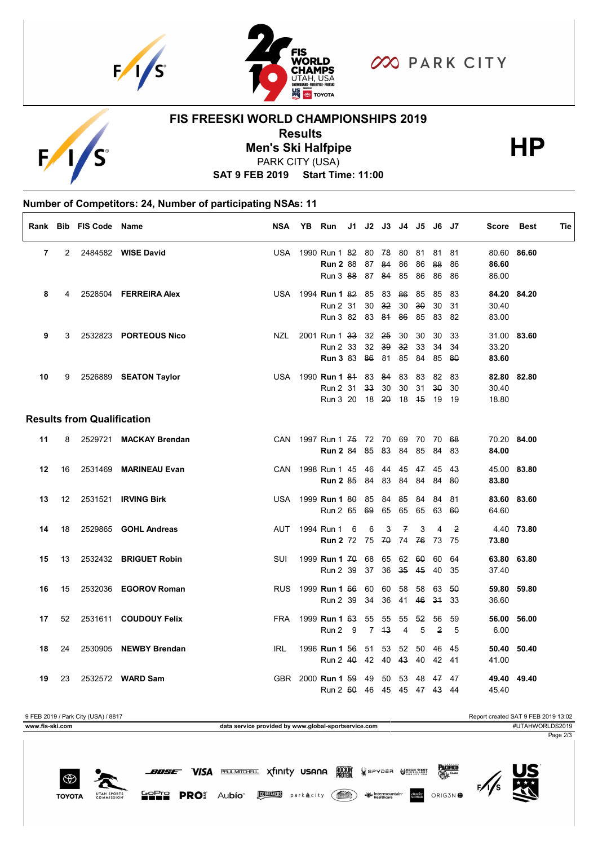



**OO PARK CITY** 

# $E$

## **FIS FREESKI WORLD CHAMPIONSHIPS 2019**

**Results**<br>
Men's Ski Halfpipe<br>
PARK CITY (USA)

PARK CITY (USA)

**SAT 9 FEB 2019 Start Time: 11:00**

# **Number of Competitors: 24, Number of participating NSAs: 11**

|    |    | Rank Bib FIS Code Name            |                        | <b>NSA</b> | YB | <b>Run</b>                       |   |      | J1 J2 J3 J4 J5 J6 J7 |                |       |              |                | Score | <b>Best</b> | Tie |
|----|----|-----------------------------------|------------------------|------------|----|----------------------------------|---|------|----------------------|----------------|-------|--------------|----------------|-------|-------------|-----|
| 7  | 2  |                                   | 2484582 WISE David     | USA        |    | 1990 Run 1 82 80 78 80 81        |   |      |                      |                |       | 81           | -81            |       | 80.60 86.60 |     |
|    |    |                                   |                        |            |    | <b>Run 2 88</b>                  |   | 87   | 84                   | 86             | 86    | 88           | 86             | 86.60 |             |     |
|    |    |                                   |                        |            |    | Run 3 88                         |   | 87   | 84                   | 85             | 86    | 86           | 86             | 86.00 |             |     |
| 8  | 4  |                                   | 2528504 FERREIRA Alex  |            |    | USA 1994 <b>Run 1 82 85</b>      |   |      | 83                   | 86             | 85    | 85           | 83             |       | 84.20 84.20 |     |
|    |    |                                   |                        |            |    | Run 2 31                         |   | 30   | 32                   | 30             | 30    | 30           | 31             | 30.40 |             |     |
|    |    |                                   |                        |            |    | Run 3 82 83                      |   |      | 84 86                |                | 85    | 83           | -82            | 83.00 |             |     |
| 9  | 3  |                                   | 2532823 PORTEOUS Nico  | NZL        |    | 2001 Run 1 33 32 25              |   |      |                      | 30             | 30    | 30           | 33             |       | 31.00 83.60 |     |
|    |    |                                   |                        |            |    | Run 2 33                         |   | 32   | 39                   | 32             | 33    | 34           | 34             | 33.20 |             |     |
|    |    |                                   |                        |            |    | <b>Run 3 83 86</b>               |   |      | 81                   | 85             | 84    | 85           | 80             | 83.60 |             |     |
| 10 | 9  |                                   | 2526889 SEATON Taylor  |            |    | USA 1990 Run 1 84 83 84 83       |   |      |                      |                | -83   | 82           | 83             |       | 82.80 82.80 |     |
|    |    |                                   |                        |            |    | Run 2 31 33                      |   |      | 30                   | 30             | 31    | $30^{\circ}$ | 30             | 30.40 |             |     |
|    |    |                                   |                        |            |    | Run 3 20                         |   | 18   | 20                   |                | 18 45 | 19           | - 19           | 18.80 |             |     |
|    |    | <b>Results from Qualification</b> |                        |            |    |                                  |   |      |                      |                |       |              |                |       |             |     |
| 11 | 8  |                                   | 2529721 MACKAY Brendan |            |    | CAN 1997 Run 1 75 72 70 69 70 70 |   |      |                      |                |       |              | - 68           |       | 70.20 84.00 |     |
|    |    |                                   |                        |            |    | <b>Run 2</b> 84 85               |   |      | 83 84                |                | 85    | 84           | 83             | 84.00 |             |     |
| 12 | 16 |                                   | 2531469 MARINEAU Evan  | <b>CAN</b> |    | 1998 Run 1 45                    |   | 46   |                      | 44 45          | 47    | 45           | 43             |       | 45.00 83.80 |     |
|    |    |                                   |                        |            |    | <b>Run 2 85 84</b>               |   |      | 83                   | 84             | 84    | 84           | 80             | 83.80 |             |     |
| 13 | 12 |                                   | 2531521 IRVING Birk    |            |    | USA 1999 Run 1 80                |   | 85   | 84                   | 85             | 84    | 84           | 81             |       | 83.60 83.60 |     |
|    |    |                                   |                        |            |    | Run 2 65 69                      |   |      | 65                   | 65             | 65    | 63           | -60            | 64.60 |             |     |
| 14 | 18 |                                   | 2529865 GOHL Andreas   | AUT        |    | 1994 Run 1                       | 6 | 6    | 3                    | $\overline{f}$ | 3     | 4            | $\overline{2}$ |       | 4.40 73.80  |     |
|    |    |                                   |                        |            |    | <b>Run 2</b> 72 75 70            |   |      |                      | 74             | 76    | 73           | - 75           | 73.80 |             |     |
| 15 | 13 |                                   | 2532432 BRIGUET Robin  | <b>SUI</b> |    | 1999 Run 1 70                    |   | 68   | 65                   | 62             | 60    | 60           | 64             |       | 63.80 63.80 |     |
|    |    |                                   |                        |            |    | Run 2 39                         |   | 37   | 36                   | 35             | 45    | 40           | 35             | 37.40 |             |     |
| 16 | 15 |                                   | 2532036 EGOROV Roman   | <b>RUS</b> |    | 1999 <b>Run 1</b> 66             |   | 60   | 60                   | 58             | 58    | 63           | 50             |       | 59.80 59.80 |     |
|    |    |                                   |                        |            |    | Run 2 39                         |   | 34   | 36                   | 41             | 46    | 34           | 33             | 36.60 |             |     |
| 17 | 52 |                                   | 2531611 COUDOUY Felix  | <b>FRA</b> |    | 1999 <b>Run 1</b> 63             |   | - 55 | 55                   | 55             | -52   | 56           | 59             |       | 56.00 56.00 |     |
|    |    |                                   |                        |            |    | Run 2 9                          |   |      | 743                  | $\overline{4}$ | 5     | 2            | 5              | 6.00  |             |     |
| 18 | 24 |                                   | 2530905 NEWBY Brendan  | <b>IRL</b> |    | 1996 Run 1 56                    |   | 51   | 53                   | 52             | 50    | 46           | 45             |       | 50.40 50.40 |     |
|    |    |                                   |                        |            |    | Run 2 $40$                       |   | 42   | 40                   | 43             | 40    | 42 41        |                | 41.00 |             |     |
| 19 | 23 |                                   | 2532572 WARD Sam       |            |    | GBR 2000 Run 1 59                |   | 49   | 50                   | 53             | 48    | 47           | 47             |       | 49.40 49.40 |     |
|    |    |                                   |                        |            |    | Run 2 60                         |   | 46   | 45 45                |                |       | 47  43  44   |                | 45.40 |             |     |

9 FEB 2019 / Park City (USA) / 8817 Report created SAT 9 FEB 2019 13:02 **www.fis-ski.com data service provided by www.global-sportservice.com** #UTAHWORLDS2019 Page 2/3



₩ **TOYOTA** UTAH SPOR<br>COMMISSIC

GOPIO PROS Aubío **MEDICOS** parkacity (

**BOSE VISA BOUNDELL Xfinity USANA RAN** SPYDER OMNEST

ORIG3N **\$**